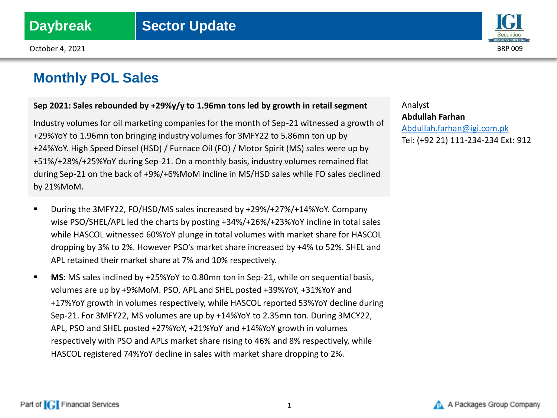

### **Sep 2021: Sales rebounded by +29%y/y to 1.96mn tons led by growth in retail segment**

Industry volumes for oil marketing companies for the month of Sep-21 witnessed a growth of +29%YoY to 1.96mn ton bringing industry volumes for 3MFY22 to 5.86mn ton up by +24%YoY. High Speed Diesel (HSD) / Furnace Oil (FO) / Motor Spirit (MS) sales were up by +51%/+28%/+25%YoY during Sep-21. On a monthly basis, industry volumes remained flat during Sep-21 on the back of +9%/+6%MoM incline in MS/HSD sales while FO sales declined by 21%MoM.

- During the 3MFY22, FO/HSD/MS sales increased by +29%/+27%/+14%YoY. Company wise PSO/SHEL/APL led the charts by posting +34%/+26%/+23%YoY incline in total sales while HASCOL witnessed 60%YoY plunge in total volumes with market share for HASCOL dropping by 3% to 2%. However PSO's market share increased by +4% to 52%. SHEL and APL retained their market share at 7% and 10% respectively.
- **MS:** MS sales inclined by +25%YoY to 0.80mn ton in Sep-21, while on sequential basis, volumes are up by +9%MoM. PSO, APL and SHEL posted +39%YoY, +31%YoY and +17%YoY growth in volumes respectively, while HASCOL reported 53%YoY decline during Sep-21. For 3MFY22, MS volumes are up by +14%YoY to 2.35mn ton. During 3MCY22, APL, PSO and SHEL posted +27%YoY, +21%YoY and +14%YoY growth in volumes respectively with PSO and APLs market share rising to 46% and 8% respectively, while HASCOL registered 74%YoY decline in sales with market share dropping to 2%.

Analyst **Abdullah Farhan** [Abdullah.farhan@igi.com.pk](mailto:Shumail.rauf@igi.com.pk) Tel: (+92 21) 111-234-234 Ext: 912

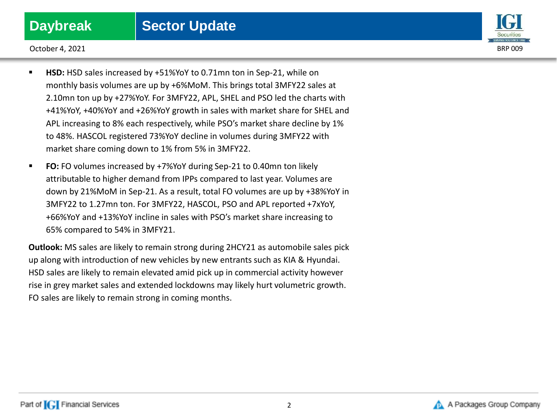

October 4, 2021 BRP 009

- **HSD:** HSD sales increased by +51%YoY to 0.71mn ton in Sep-21, while on monthly basis volumes are up by +6%MoM. This brings total 3MFY22 sales at 2.10mn ton up by +27%YoY. For 3MFY22, APL, SHEL and PSO led the charts with +41%YoY, +40%YoY and +26%YoY growth in sales with market share for SHEL and APL increasing to 8% each respectively, while PSO's market share decline by 1% to 48%. HASCOL registered 73%YoY decline in volumes during 3MFY22 with market share coming down to 1% from 5% in 3MFY22.
- **FO:** FO volumes increased by +7%YoY during Sep-21 to 0.40mn ton likely attributable to higher demand from IPPs compared to last year. Volumes are down by 21%MoM in Sep-21. As a result, total FO volumes are up by +38%YoY in 3MFY22 to 1.27mn ton. For 3MFY22, HASCOL, PSO and APL reported +7xYoY, +66%YoY and +13%YoY incline in sales with PSO's market share increasing to 65% compared to 54% in 3MFY21.

**Outlook:** MS sales are likely to remain strong during 2HCY21 as automobile sales pick up along with introduction of new vehicles by new entrants such as KIA & Hyundai. HSD sales are likely to remain elevated amid pick up in commercial activity however rise in grey market sales and extended lockdowns may likely hurt volumetric growth. FO sales are likely to remain strong in coming months.

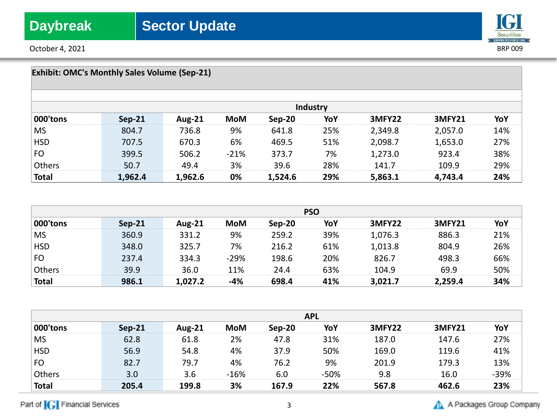October 4, 2021 BRP 009

## **IGI** Securities<br>SERVING YOU SINCE 1994

| <b>Exhibit: OMC's Monthly Sales Volume (Sep-21)</b> |          |               |            |          |          |         |               |     |
|-----------------------------------------------------|----------|---------------|------------|----------|----------|---------|---------------|-----|
|                                                     |          |               |            |          | Industry |         |               |     |
| 000'tons                                            | $Sep-21$ | <b>Aug-21</b> | <b>MoM</b> | $Sep-20$ | YoY      | 3MFY22  | <b>3MFY21</b> | YoY |
| <b>MS</b>                                           | 804.7    | 736.8         | 9%         | 641.8    | 25%      | 2,349.8 | 2,057.0       | 14% |
| <b>HSD</b>                                          | 707.5    | 670.3         | 6%         | 469.5    | 51%      | 2,098.7 | 1,653.0       | 27% |
| FO                                                  | 399.5    | 506.2         | $-21%$     | 373.7    | 7%       | 1,273.0 | 923.4         | 38% |
| Others                                              | 50.7     | 49.4          | 3%         | 39.6     | 28%      | 141.7   | 109.9         | 29% |
| <b>Total</b>                                        | 1,962.4  | 1,962.6       | 0%         | 1,524.6  | 29%      | 5,863.1 | 4,743.4       | 24% |

|              | <b>PSO</b> |        |        |        |     |         |                    |          |
|--------------|------------|--------|--------|--------|-----|---------|--------------------|----------|
| mns          | Sep-21     | Aug-21 | MoM    | Sep-20 |     | 3MFY22  | 3MFY <sub>21</sub> |          |
| <b>MS</b>    | 360.9      | 331.2  | 9%     | 259.2  | 39% | 1,076.3 | 886.3              | 21%      |
| <b>HSD</b>   | 348.0      | 325.7  | 7%     | 216.2  | 61% | 1,013.8 | 804.9              | 26%      |
| <b>FO</b>    | 237.4      | 334.3  | $-29%$ | 198.6  | 20% | 826.7   | 498.3              | 。<br>56% |
|              | 399        | 36.0   | 11%    | 24.4   | 53% | በ4 ዓ    | 69 9               | .0%      |
| <b>Total</b> | 986.1      |        |        |        | I1% |         |                    |          |

|              | <b>APL</b> |       |        |        |        |        |               |     |
|--------------|------------|-------|--------|--------|--------|--------|---------------|-----|
| 000'tons     | Sep-21     | ug-21 | MoM    | Sen-20 |        | 3MFY22 | <b>3MFY21</b> |     |
| <b>MS</b>    | 62.8       | 61.8  | 2%     | 47.8   | 31%    | 187.0  | 147.6         | 27% |
| <b>HSD</b>   | 56.9       | 54.8  | 4%     | 37.9   | 50%    | 169.0  | 119.6         | 41% |
| $ $ FO       |            | 79.7  | 4%     | 76.2   | 9%     | 201.9  | 179.3         | 13% |
| Others       | 3.O        |       | $-16%$ | 6.0    | $-50%$ |        | 16 በ          | 39% |
| <b>Total</b> | 205.4      | 199.8 | 3%     | 167.9  | 22%    | 567.8  |               |     |

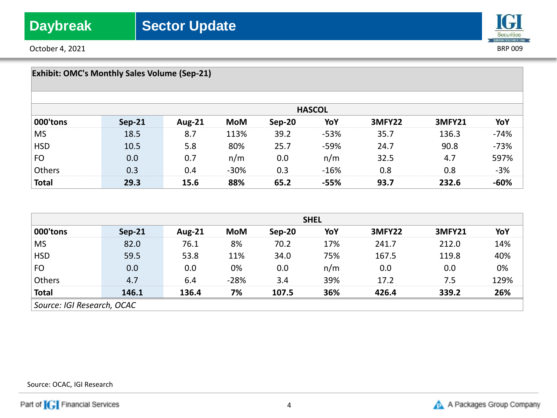October 4, 2021 BRP 009



| <b>Exhibit: OMC's Monthly Sales Volume (Sep-21)</b> |               |               |        |        |               |        |        |        |
|-----------------------------------------------------|---------------|---------------|--------|--------|---------------|--------|--------|--------|
|                                                     |               |               |        |        | <b>HASCOL</b> |        |        |        |
| 000'tons                                            | <b>Sep-21</b> | <b>Aug-21</b> | MoM    | Sep-20 | YoY           | 3MFY22 | 3MFY21 | YoY    |
| <b>MS</b>                                           | 18.5          | 8.7           | 113%   | 39.2   | $-53%$        | 35.7   | 136.3  | $-74%$ |
| <b>HSD</b>                                          | 10.5          | 5.8           | 80%    | 25.7   | $-59%$        | 24.7   | 90.8   | $-73%$ |
| FO                                                  | 0.0           | 0.7           | n/m    | 0.0    | n/m           | 32.5   | 4.7    | 597%   |
| Others                                              | 0.3           | 0.4           | $-30%$ | 0.3    | $-16%$        | 0.8    | 0.8    | $-3%$  |
| <b>Total</b>                                        | 29.3          | 15.6          | 88%    | 65.2   | -55%          | 93.7   | 232.6  |        |

|                            | <b>SHEL</b> |        |     |        |     |               |        |     |
|----------------------------|-------------|--------|-----|--------|-----|---------------|--------|-----|
|                            | $Sen-21$    | Aug-21 | мом | Sep-20 | YoY | <b>3MFY22</b> | 3MFY21 |     |
| <b>MS</b>                  |             | 76.1   | 8%  | 70.2   | 17% | 241.7         | 212.0. | .4% |
| ЧSD                        | 59.5        | 53.8   | 11% | 34.0   | 75% | 167.5         | 119.8  | 10% |
| <b>FO</b>                  |             | 0.0    | 0%  | 0.0    | n/m | 0.0           |        | 0%  |
|                            |             | 64     | ንՋ% |        | 39% |               | 75     | 29% |
| Total                      | 146.1       | 136.4  | 7%  | 107.5  | 36% | 76 A          | 339.2  | 26% |
| Source: IGI Research, OCAC |             |        |     |        |     |               |        |     |

Source: OCAC, IGI Research

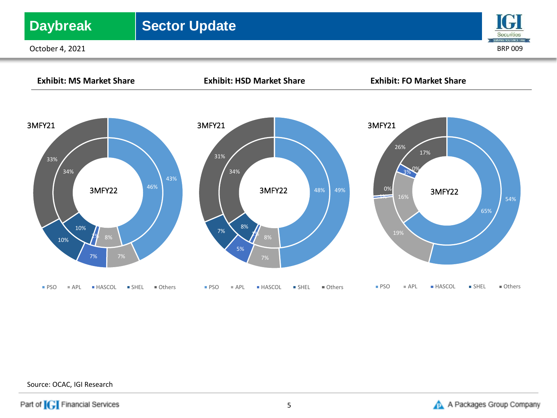## **Daybreak** | Sector Update

October 4, 2021 BRP 009





Source: OCAC, IGI Research

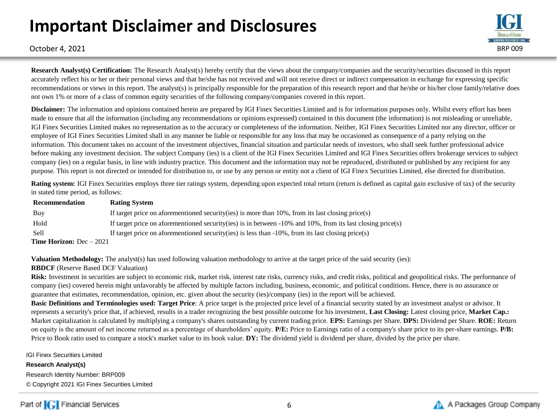# **Important Disclaimer and Disclosures**



October 4, 2021 BRP 009

**Research Analyst(s) Certification:** The Research Analyst(s) hereby certify that the views about the company/companies and the security/securities discussed in this report accurately reflect his or her or their personal views and that he/she has not received and will not receive direct or indirect compensation in exchange for expressing specific recommendations or views in this report. The analyst(s) is principally responsible for the preparation of this research report and that he/she or his/her close family/relative does not own 1% or more of a class of common equity securities of the following company/companies covered in this report.

**Disclaimer:** The information and opinions contained herein are prepared by IGI Finex Securities Limited and is for information purposes only. Whilst every effort has been made to ensure that all the information (including any recommendations or opinions expressed) contained in this document (the information) is not misleading or unreliable, IGI Finex Securities Limited makes no representation as to the accuracy or completeness of the information. Neither, IGI Finex Securities Limited nor any director, officer or employee of IGI Finex Securities Limited shall in any manner be liable or responsible for any loss that may be occasioned as consequence of a party relying on the information. This document takes no account of the investment objectives, financial situation and particular needs of investors, who shall seek further professional advice before making any investment decision. The subject Company (ies) is a client of the IGI Finex Securities Limited and IGI Finex Securities offers brokerage services to subject company (ies) on a regular basis, in line with industry practice. This document and the information may not be reproduced, distributed or published by any recipient for any purpose. This report is not directed or intended for distribution to, or use by any person or entity not a client of IGI Finex Securities Limited, else directed for distribution.

**Rating system:** IGI Finex Securities employs three tier ratings system, depending upon expected total return (return is defined as capital gain exclusive of tax) of the security in stated time period, as follows:

| Recommendation                    | <b>Rating System</b>                                                                                               |
|-----------------------------------|--------------------------------------------------------------------------------------------------------------------|
| Buy                               | If target price on aforementioned security (ies) is more than $10\%$ , from its last closing price (s)             |
| Hold                              | If target price on aforementioned security (ies) is in between $-10\%$ and $10\%$ , from its last closing price(s) |
| <b>Sell</b>                       | If target price on aforementioned security (ies) is less than $-10\%$ , from its last closing price (s)            |
| <b>Time Horizon:</b> $Dec - 2021$ |                                                                                                                    |

**Valuation Methodology:** The analyst(s) has used following valuation methodology to arrive at the target price of the said security (ies):

### **RBDCF** (Reserve Based DCF Valuation)

Risk: Investment in securities are subject to economic risk, market risk, interest rate risks, currency risks, and credit risks, political and geopolitical risks. The performance of company (ies) covered herein might unfavorably be affected by multiple factors including, business, economic, and political conditions. Hence, there is no assurance or guarantee that estimates, recommendation, opinion, etc. given about the security (ies)/company (ies) in the report will be achieved.

**Basic Definitions and Terminologies used: Target Price**: A price target is the projected price level of a financial security stated by an investment analyst or advisor. It represents a security's price that, if achieved, results in a trader recognizing the best possible outcome for his investment, **Last Closing:** Latest closing price, **Market Cap.:**  Market capitalization is calculated by multiplying a company's shares outstanding by current trading price. **EPS:** Earnings per Share. **DPS:** Dividend per Share. **ROE:** Return on equity is the amount of net income returned as a percentage of shareholders' equity. **P/E:** Price to Earnings ratio of a company's share price to its per-share earnings. **P/B:** Price to Book ratio used to compare a stock's market value to its book value. **DY:** The dividend yield is dividend per share, divided by the price per share.

IGI Finex Securities Limited

**Research Analyst(s)** Research Identity Number: BRP009 © Copyright 2021 IGI Finex Securities Limited